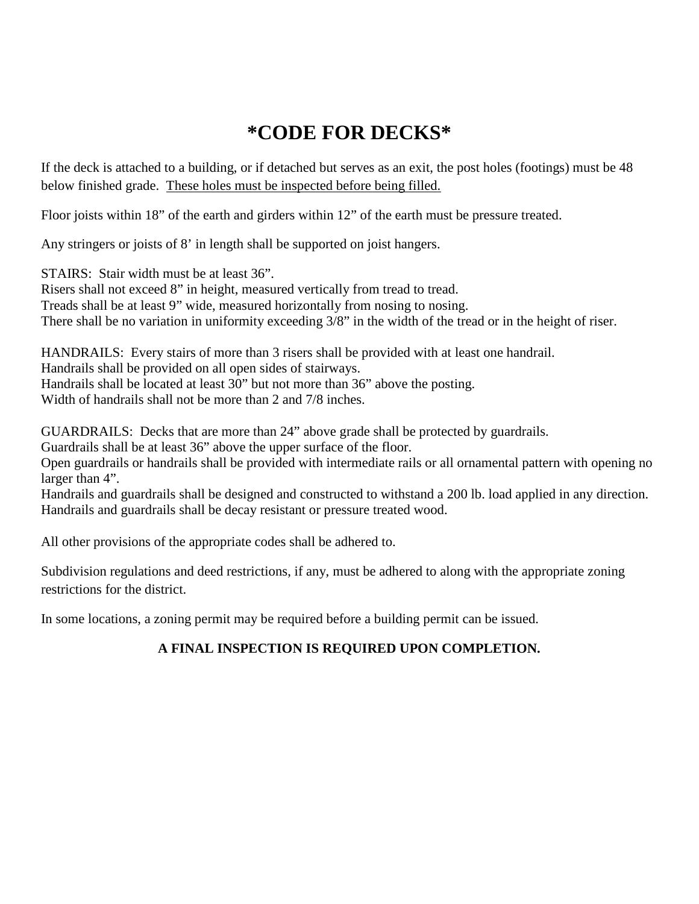## **\*CODE FOR DECKS\***

If the deck is attached to a building, or if detached but serves as an exit, the post holes (footings) must be 48 below finished grade. These holes must be inspected before being filled.

Floor joists within 18" of the earth and girders within 12" of the earth must be pressure treated.

Any stringers or joists of 8' in length shall be supported on joist hangers.

STAIRS: Stair width must be at least 36".

Risers shall not exceed 8" in height, measured vertically from tread to tread. Treads shall be at least 9" wide, measured horizontally from nosing to nosing. There shall be no variation in uniformity exceeding 3/8" in the width of the tread or in the height of riser.

HANDRAILS: Every stairs of more than 3 risers shall be provided with at least one handrail. Handrails shall be provided on all open sides of stairways. Handrails shall be located at least 30" but not more than 36" above the posting. Width of handrails shall not be more than 2 and 7/8 inches.

GUARDRAILS: Decks that are more than 24" above grade shall be protected by guardrails.

Guardrails shall be at least 36" above the upper surface of the floor.

Open guardrails or handrails shall be provided with intermediate rails or all ornamental pattern with opening no larger than 4".

Handrails and guardrails shall be designed and constructed to withstand a 200 lb. load applied in any direction. Handrails and guardrails shall be decay resistant or pressure treated wood.

All other provisions of the appropriate codes shall be adhered to.

Subdivision regulations and deed restrictions, if any, must be adhered to along with the appropriate zoning restrictions for the district.

In some locations, a zoning permit may be required before a building permit can be issued.

## **A FINAL INSPECTION IS REQUIRED UPON COMPLETION.**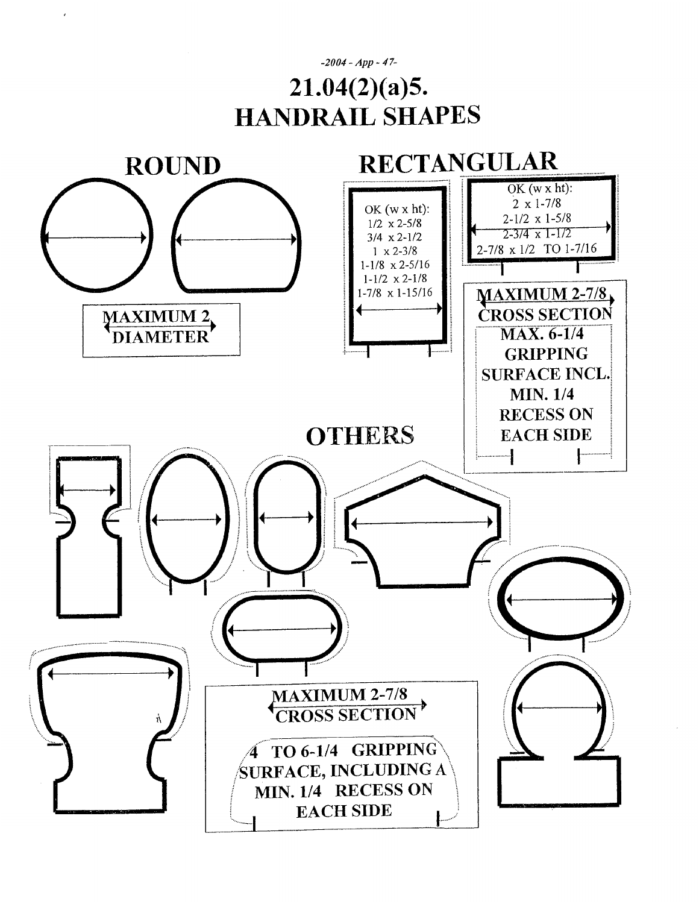